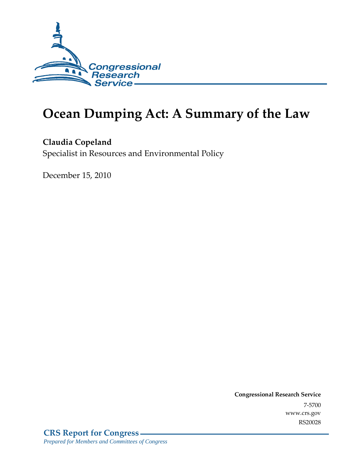

# **Ocean Dumping Act: A Summary of the Law**

### **Claudia Copeland**

Specialist in Resources and Environmental Policy

December 15, 2010

**Congressional Research Service** 7-5700 www.crs.gov RS20028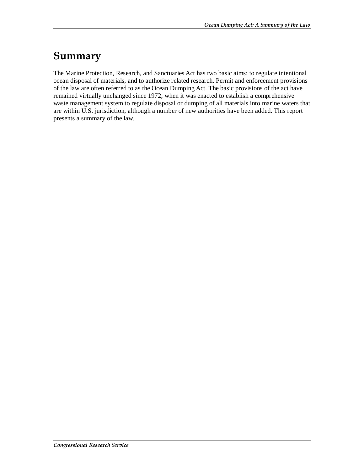## **Summary**

The Marine Protection, Research, and Sanctuaries Act has two basic aims: to regulate intentional ocean disposal of materials, and to authorize related research. Permit and enforcement provisions of the law are often referred to as the Ocean Dumping Act. The basic provisions of the act have remained virtually unchanged since 1972, when it was enacted to establish a comprehensive waste management system to regulate disposal or dumping of all materials into marine waters that are within U.S. jurisdiction, although a number of new authorities have been added. This report presents a summary of the law.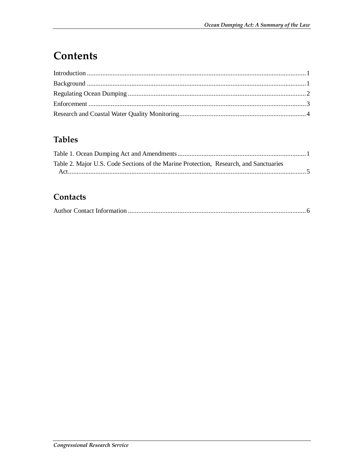## Contents

### **Tables**

| Table 2. Major U.S. Code Sections of the Marine Protection, Research, and Sanctuaries |  |
|---------------------------------------------------------------------------------------|--|
|                                                                                       |  |

### Contacts

|--|--|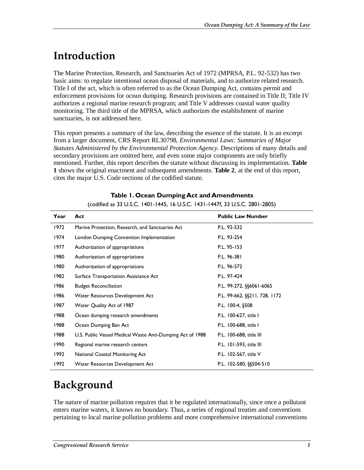## **Introduction**

The Marine Protection, Research, and Sanctuaries Act of 1972 (MPRSA, P.L. 92-532) has two basic aims: to regulate intentional ocean disposal of materials, and to authorize related research. Title I of the act, which is often referred to as the Ocean Dumping Act, contains permit and enforcement provisions for ocean dumping. Research provisions are contained in Title II; Title IV authorizes a regional marine research program; and Title V addresses coastal water quality monitoring. The third title of the MPRSA, which authorizes the establishment of marine sanctuaries, is not addressed here.

This report presents a summary of the law, describing the essence of the statute. It is an excerpt from a larger document, CRS Report RL30798, *Environmental Laws: Summaries of Major Statutes Administered by the Environmental Protection Agency*. Descriptions of many details and secondary provisions are omitted here, and even some major components are only briefly mentioned. Further, this report describes the statute without discussing its implementation. **Table 1** shows the original enactment and subsequent amendments. **Table 2**, at the end of this report, cites the major U.S. Code sections of the codified statute.

| Year | Act                                                       | <b>Public Law Number</b>        |
|------|-----------------------------------------------------------|---------------------------------|
| 1972 | Marine Protection, Research, and Sanctuaries Act          | P.L. 92-532                     |
| 1974 | London Dumping Convention Implementation                  | P.L. 93-254                     |
| 1977 | Authorization of appropriations                           | P.L. 95-153                     |
| 1980 | Authorization of appropriations                           | P.L. 96-381                     |
| 1980 | Authorization of appropriations                           | P.L. 96-572                     |
| 1982 | Surface Transportation Assistance Act                     | P.L. 97-424                     |
| 1986 | <b>Budget Reconciliation</b>                              | P.L. 99-272, §§6061-6065        |
| 1986 | Water Resources Development Act                           | P.L. 99-662, \$\$211, 728, 1172 |
| 1987 | Water Quality Act of 1987                                 | P.L. 100-4, §508                |
| 1988 | Ocean dumping research amendments                         | P.L. 100-627, title I           |
| 1988 | Ocean Dumping Ban Act                                     | P.L. 100-688, title I           |
| 1988 | U.S. Public Vessel Medical Waste Anti-Dumping Act of 1988 | P.L. 100-688, title III         |
| 1990 | Regional marine research centers                          | P.L. 101-593, title III         |
| 1992 | National Coastal Monitoring Act                           | P.L. 102-567, title V           |
| 1992 | Water Resources Development Act                           | P.L. 102-580, §§504-510         |

#### **Table 1. Ocean Dumping Act and Amendments**

(codified as 33 U.S.C. 1401-1445, 16 U.S.C. 1431-1447f, 33 U.S.C. 2801-2805)

## **Background**

The nature of marine pollution requires that it be regulated internationally, since once a pollutant enters marine waters, it knows no boundary. Thus, a series of regional treaties and conventions pertaining to local marine pollution problems and more comprehensive international conventions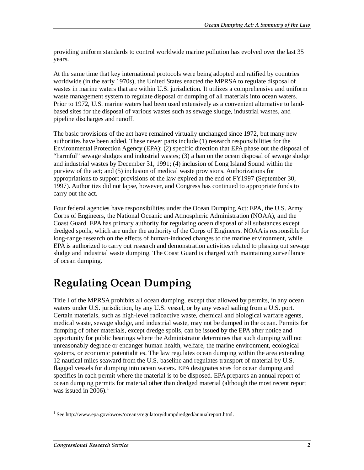providing uniform standards to control worldwide marine pollution has evolved over the last 35 years.

At the same time that key international protocols were being adopted and ratified by countries worldwide (in the early 1970s), the United States enacted the MPRSA to regulate disposal of wastes in marine waters that are within U.S. jurisdiction. It utilizes a comprehensive and uniform waste management system to regulate disposal or dumping of all materials into ocean waters. Prior to 1972, U.S. marine waters had been used extensively as a convenient alternative to landbased sites for the disposal of various wastes such as sewage sludge, industrial wastes, and pipeline discharges and runoff.

The basic provisions of the act have remained virtually unchanged since 1972, but many new authorities have been added. These newer parts include (1) research responsibilities for the Environmental Protection Agency (EPA); (2) specific direction that EPA phase out the disposal of "harmful" sewage sludges and industrial wastes; (3) a ban on the ocean disposal of sewage sludge and industrial wastes by December 31, 1991; (4) inclusion of Long Island Sound within the purview of the act; and (5) inclusion of medical waste provisions. Authorizations for appropriations to support provisions of the law expired at the end of FY1997 (September 30, 1997). Authorities did not lapse, however, and Congress has continued to appropriate funds to carry out the act.

Four federal agencies have responsibilities under the Ocean Dumping Act: EPA, the U.S. Army Corps of Engineers, the National Oceanic and Atmospheric Administration (NOAA), and the Coast Guard. EPA has primary authority for regulating ocean disposal of all substances except dredged spoils, which are under the authority of the Corps of Engineers. NOAA is responsible for long-range research on the effects of human-induced changes to the marine environment, while EPA is authorized to carry out research and demonstration activities related to phasing out sewage sludge and industrial waste dumping. The Coast Guard is charged with maintaining surveillance of ocean dumping.

## **Regulating Ocean Dumping**

Title I of the MPRSA prohibits all ocean dumping, except that allowed by permits, in any ocean waters under U.S. jurisdiction, by any U.S. vessel, or by any vessel sailing from a U.S. port. Certain materials, such as high-level radioactive waste, chemical and biological warfare agents, medical waste, sewage sludge, and industrial waste, may not be dumped in the ocean. Permits for dumping of other materials, except dredge spoils, can be issued by the EPA after notice and opportunity for public hearings where the Administrator determines that such dumping will not unreasonably degrade or endanger human health, welfare, the marine environment, ecological systems, or economic potentialities. The law regulates ocean dumping within the area extending 12 nautical miles seaward from the U.S. baseline and regulates transport of material by U.S. flagged vessels for dumping into ocean waters. EPA designates sites for ocean dumping and specifies in each permit where the material is to be disposed. EPA prepares an annual report of ocean dumping permits for material other than dredged material (although the most recent report was issued in 2006). $<sup>1</sup>$ </sup>

1

<sup>&</sup>lt;sup>1</sup> See http://www.epa.gov/owow/oceans/regulatory/dumpdredged/annualreport.html.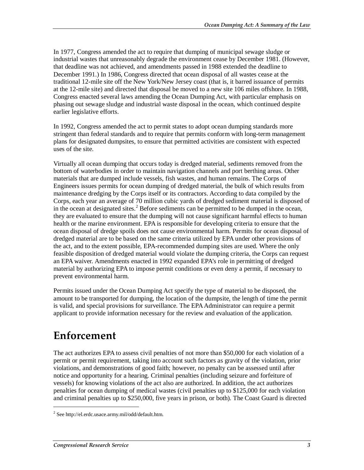In 1977, Congress amended the act to require that dumping of municipal sewage sludge or industrial wastes that unreasonably degrade the environment cease by December 1981. (However, that deadline was not achieved, and amendments passed in 1988 extended the deadline to December 1991.) In 1986, Congress directed that ocean disposal of all wastes cease at the traditional 12-mile site off the New York/New Jersey coast (that is, it barred issuance of permits at the 12-mile site) and directed that disposal be moved to a new site 106 miles offshore. In 1988, Congress enacted several laws amending the Ocean Dumping Act, with particular emphasis on phasing out sewage sludge and industrial waste disposal in the ocean, which continued despite earlier legislative efforts.

In 1992, Congress amended the act to permit states to adopt ocean dumping standards more stringent than federal standards and to require that permits conform with long-term management plans for designated dumpsites, to ensure that permitted activities are consistent with expected uses of the site.

Virtually all ocean dumping that occurs today is dredged material, sediments removed from the bottom of waterbodies in order to maintain navigation channels and port berthing areas. Other materials that are dumped include vessels, fish wastes, and human remains. The Corps of Engineers issues permits for ocean dumping of dredged material, the bulk of which results from maintenance dredging by the Corps itself or its contractors. According to data compiled by the Corps, each year an average of 70 million cubic yards of dredged sediment material is disposed of in the ocean at designated sites.<sup>2</sup> Before sediments can be permitted to be dumped in the ocean, they are evaluated to ensure that the dumping will not cause significant harmful effects to human health or the marine environment. EPA is responsible for developing criteria to ensure that the ocean disposal of dredge spoils does not cause environmental harm. Permits for ocean disposal of dredged material are to be based on the same criteria utilized by EPA under other provisions of the act, and to the extent possible, EPA-recommended dumping sites are used. Where the only feasible disposition of dredged material would violate the dumping criteria, the Corps can request an EPA waiver. Amendments enacted in 1992 expanded EPA's role in permitting of dredged material by authorizing EPA to impose permit conditions or even deny a permit, if necessary to prevent environmental harm.

Permits issued under the Ocean Dumping Act specify the type of material to be disposed, the amount to be transported for dumping, the location of the dumpsite, the length of time the permit is valid, and special provisions for surveillance. The EPA Administrator can require a permit applicant to provide information necessary for the review and evaluation of the application.

### **Enforcement**

The act authorizes EPA to assess civil penalties of not more than \$50,000 for each violation of a permit or permit requirement, taking into account such factors as gravity of the violation, prior violations, and demonstrations of good faith; however, no penalty can be assessed until after notice and opportunity for a hearing. Criminal penalties (including seizure and forfeiture of vessels) for knowing violations of the act also are authorized. In addition, the act authorizes penalties for ocean dumping of medical wastes (civil penalties up to \$125,000 for each violation and criminal penalties up to \$250,000, five years in prison, or both). The Coast Guard is directed

1

<sup>2</sup> See http://el.erdc.usace.army.mil/odd/default.htm.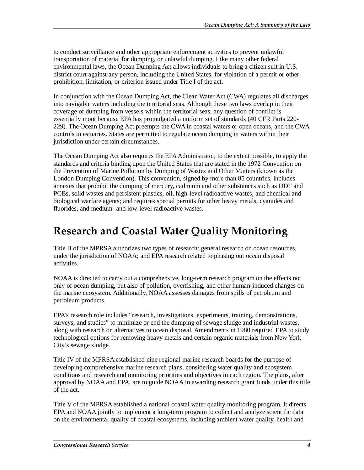to conduct surveillance and other appropriate enforcement activities to prevent unlawful transportation of material for dumping, or unlawful dumping. Like many other federal environmental laws, the Ocean Dumping Act allows individuals to bring a citizen suit in U.S. district court against any person, including the United States, for violation of a permit or other prohibition, limitation, or criterion issued under Title I of the act.

In conjunction with the Ocean Dumping Act, the Clean Water Act (CWA) regulates all discharges into navigable waters including the territorial seas. Although these two laws overlap in their coverage of dumping from vessels within the territorial seas, any question of conflict is essentially moot because EPA has promulgated a uniform set of standards (40 CFR Parts 220- 229). The Ocean Dumping Act preempts the CWA in coastal waters or open oceans, and the CWA controls in estuaries. States are permitted to regulate ocean dumping in waters within their jurisdiction under certain circumstances.

The Ocean Dumping Act also requires the EPA Administrator, to the extent possible, to apply the standards and criteria binding upon the United States that are stated in the 1972 Convention on the Prevention of Marine Pollution by Dumping of Wastes and Other Matters (known as the London Dumping Convention). This convention, signed by more than 85 countries, includes annexes that prohibit the dumping of mercury, cadmium and other substances such as DDT and PCBs, solid wastes and persistent plastics, oil, high-level radioactive wastes, and chemical and biological warfare agents; and requires special permits for other heavy metals, cyanides and fluorides, and medium- and low-level radioactive wastes.

### **Research and Coastal Water Quality Monitoring**

Title II of the MPRSA authorizes two types of research: general research on ocean resources, under the jurisdiction of NOAA; and EPA research related to phasing out ocean disposal activities.

NOAA is directed to carry out a comprehensive, long-term research program on the effects not only of ocean dumping, but also of pollution, overfishing, and other human-induced changes on the marine ecosystem. Additionally, NOAA assesses damages from spills of petroleum and petroleum products.

EPA's research role includes "research, investigations, experiments, training, demonstrations, surveys, and studies" to minimize or end the dumping of sewage sludge and industrial wastes, along with research on alternatives to ocean disposal. Amendments in 1980 required EPA to study technological options for removing heavy metals and certain organic materials from New York City's sewage sludge.

Title IV of the MPRSA established nine regional marine research boards for the purpose of developing comprehensive marine research plans, considering water quality and ecosystem conditions and research and monitoring priorities and objectives in each region. The plans, after approval by NOAA and EPA, are to guide NOAA in awarding research grant funds under this title of the act.

Title V of the MPRSA established a national coastal water quality monitoring program. It directs EPA and NOAA jointly to implement a long-term program to collect and analyze scientific data on the environmental quality of coastal ecosystems, including ambient water quality, health and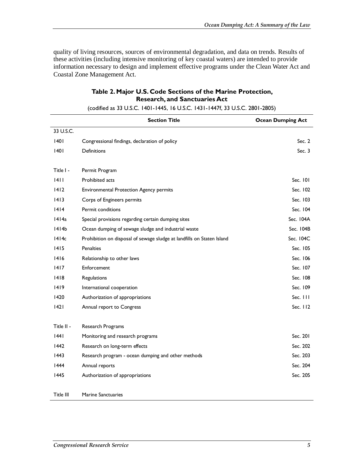quality of living resources, sources of environmental degradation, and data on trends. Results of these activities (including intensive monitoring of key coastal waters) are intended to provide information necessary to design and implement effective programs under the Clean Water Act and Coastal Zone Management Act.

#### **Table 2. Major U.S. Code Sections of the Marine Protection, Research, and Sanctuaries Act**

|            | <b>Section Title</b>                                                   | <b>Ocean Dumping Act</b> |
|------------|------------------------------------------------------------------------|--------------------------|
| 33 U.S.C.  |                                                                        |                          |
| 1401       | Congressional findings, declaration of policy                          | Sec. $2$                 |
| 40         | Definitions                                                            | Sec. $3$                 |
| Title I -  | Permit Program                                                         |                          |
| 4          | Prohibited acts                                                        | Sec. 101                 |
| 1412       | <b>Environmental Protection Agency permits</b>                         | Sec. 102                 |
| 4 3        | Corps of Engineers permits                                             | Sec. 103                 |
| 4 4        | Permit conditions                                                      | Sec. 104                 |
| 1414a      | Special provisions regarding certain dumping sites                     | Sec. 104A                |
| 1414b      | Ocean dumping of sewage sludge and industrial waste                    | Sec. 104B                |
| 1414c      | Prohibition on disposal of sewage sludge at landfills on Staten Island | Sec. 104C                |
| 1415       | <b>Penalties</b>                                                       | Sec. 105                 |
| 1416       | Relationship to other laws                                             | Sec. 106                 |
| 4 7        | Enforcement                                                            | Sec. 107                 |
| 1418       | Regulations                                                            | Sec. 108                 |
| 1419       | International cooperation                                              | Sec. 109                 |
| 1420       | Authorization of appropriations                                        | Sec. III                 |
| 42         | Annual report to Congress                                              | Sec. $112$               |
| Title II - | Research Programs                                                      |                          |
| 1441       | Monitoring and research programs                                       | Sec. 201                 |
| 1442       | Research on long-term effects                                          | Sec. 202                 |
| 1443       | Research program - ocean dumping and other methods                     | Sec. 203                 |
| 1444       | Annual reports                                                         | Sec. 204                 |
| 1445       | Authorization of appropriations                                        | Sec. 205                 |
| Title III  | <b>Marine Sanctuaries</b>                                              |                          |

(codified as 33 U.S.C. 1401-1445, 16 U.S.C. 1431-1447f, 33 U.S.C. 2801-2805)